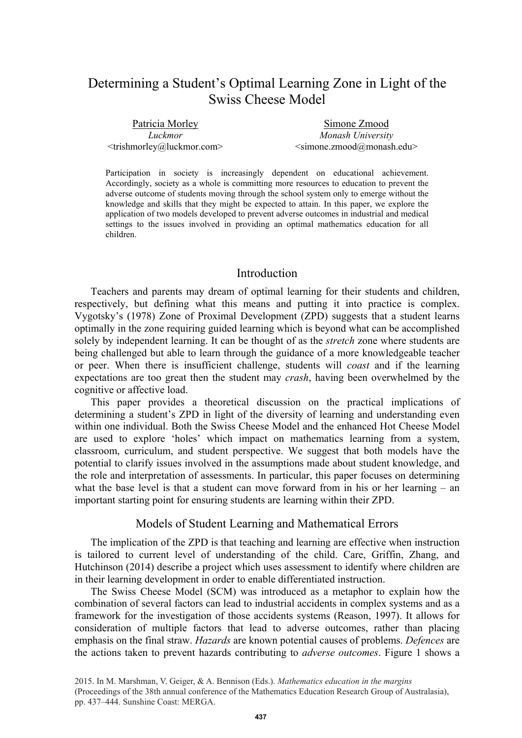# Determining a Student's Optimal Learning Zone in Light of the Swiss Cheese Model

Patricia Morley *Luckmor*  <trishmorley@luckmor.com>

Simone Zmood *Monash University*  <simone.zmood@monash.edu>

Participation in society is increasingly dependent on educational achievement. Accordingly, society as a whole is committing more resources to education to prevent the adverse outcome of students moving through the school system only to emerge without the knowledge and skills that they might be expected to attain. In this paper, we explore the application of two models developed to prevent adverse outcomes in industrial and medical settings to the issues involved in providing an optimal mathematics education for all children.

# Introduction

Teachers and parents may dream of optimal learning for their students and children, respectively, but defining what this means and putting it into practice is complex. Vygotsky's (1978) Zone of Proximal Development (ZPD) suggests that a student learns optimally in the zone requiring guided learning which is beyond what can be accomplished solely by independent learning. It can be thought of as the *stretch* zone where students are being challenged but able to learn through the guidance of a more knowledgeable teacher or peer. When there is insufficient challenge, students will *coast* and if the learning expectations are too great then the student may *crash*, having been overwhelmed by the cognitive or affective load.

This paper provides a theoretical discussion on the practical implications of determining a student's ZPD in light of the diversity of learning and understanding even within one individual. Both the Swiss Cheese Model and the enhanced Hot Cheese Model are used to explore 'holes' which impact on mathematics learning from a system, classroom, curriculum, and student perspective. We suggest that both models have the potential to clarify issues involved in the assumptions made about student knowledge, and the role and interpretation of assessments. In particular, this paper focuses on determining what the base level is that a student can move forward from in his or her learning – an important starting point for ensuring students are learning within their ZPD.

## Models of Student Learning and Mathematical Errors

The implication of the ZPD is that teaching and learning are effective when instruction is tailored to current level of understanding of the child. Care, Griffin, Zhang, and Hutchinson (2014) describe a project which uses assessment to identify where children are in their learning development in order to enable differentiated instruction.

The Swiss Cheese Model (SCM) was introduced as a metaphor to explain how the combination of several factors can lead to industrial accidents in complex systems and as a framework for the investigation of those accidents systems (Reason, 1997). It allows for consideration of multiple factors that lead to adverse outcomes, rather than placing emphasis on the final straw. *Hazards* are known potential causes of problems. *Defences* are the actions taken to prevent hazards contributing to *adverse outcomes*. Figure 1 shows a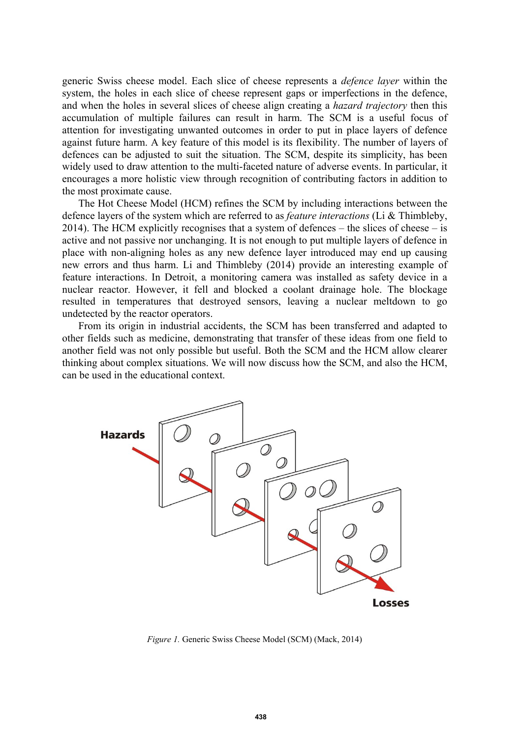generic Swiss cheese model. Each slice of cheese represents a *defence layer* within the system, the holes in each slice of cheese represent gaps or imperfections in the defence, and when the holes in several slices of cheese align creating a *hazard trajectory* then this accumulation of multiple failures can result in harm. The SCM is a useful focus of attention for investigating unwanted outcomes in order to put in place layers of defence against future harm. A key feature of this model is its flexibility. The number of layers of defences can be adjusted to suit the situation. The SCM, despite its simplicity, has been widely used to draw attention to the multi-faceted nature of adverse events. In particular, it encourages a more holistic view through recognition of contributing factors in addition to the most proximate cause.

The Hot Cheese Model (HCM) refines the SCM by including interactions between the defence layers of the system which are referred to as *feature interactions* (Li & Thimbleby, 2014). The HCM explicitly recognises that a system of defences – the slices of cheese – is active and not passive nor unchanging. It is not enough to put multiple layers of defence in place with non-aligning holes as any new defence layer introduced may end up causing new errors and thus harm. Li and Thimbleby (2014) provide an interesting example of feature interactions. In Detroit, a monitoring camera was installed as safety device in a nuclear reactor. However, it fell and blocked a coolant drainage hole. The blockage resulted in temperatures that destroyed sensors, leaving a nuclear meltdown to go undetected by the reactor operators.

From its origin in industrial accidents, the SCM has been transferred and adapted to other fields such as medicine, demonstrating that transfer of these ideas from one field to another field was not only possible but useful. Both the SCM and the HCM allow clearer thinking about complex situations. We will now discuss how the SCM, and also the HCM, can be used in the educational context.



*Figure 1.* Generic Swiss Cheese Model (SCM) (Mack, 2014)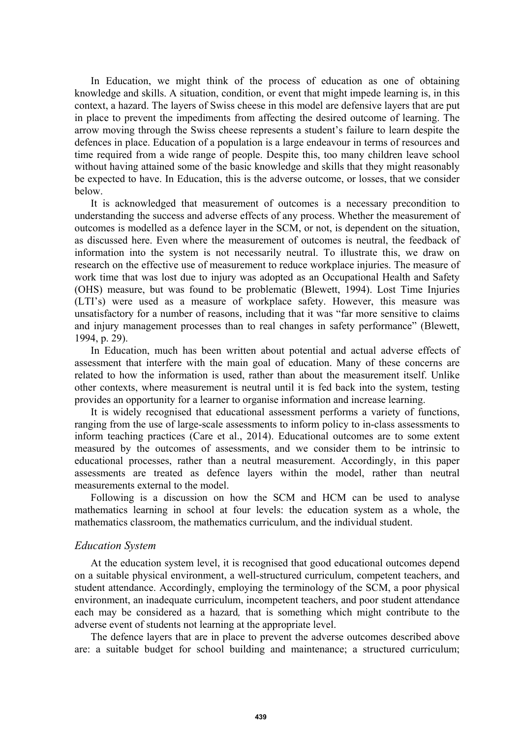In Education, we might think of the process of education as one of obtaining knowledge and skills. A situation, condition, or event that might impede learning is, in this context, a hazard. The layers of Swiss cheese in this model are defensive layers that are put in place to prevent the impediments from affecting the desired outcome of learning. The arrow moving through the Swiss cheese represents a student's failure to learn despite the defences in place. Education of a population is a large endeavour in terms of resources and time required from a wide range of people. Despite this, too many children leave school without having attained some of the basic knowledge and skills that they might reasonably be expected to have. In Education, this is the adverse outcome, or losses, that we consider below.

It is acknowledged that measurement of outcomes is a necessary precondition to understanding the success and adverse effects of any process. Whether the measurement of outcomes is modelled as a defence layer in the SCM, or not, is dependent on the situation, as discussed here. Even where the measurement of outcomes is neutral, the feedback of information into the system is not necessarily neutral. To illustrate this, we draw on research on the effective use of measurement to reduce workplace injuries. The measure of work time that was lost due to injury was adopted as an Occupational Health and Safety (OHS) measure, but was found to be problematic (Blewett, 1994). Lost Time Injuries (LTI's) were used as a measure of workplace safety. However, this measure was unsatisfactory for a number of reasons, including that it was "far more sensitive to claims and injury management processes than to real changes in safety performance" (Blewett, 1994, p. 29).

In Education, much has been written about potential and actual adverse effects of assessment that interfere with the main goal of education. Many of these concerns are related to how the information is used, rather than about the measurement itself. Unlike other contexts, where measurement is neutral until it is fed back into the system, testing provides an opportunity for a learner to organise information and increase learning.

It is widely recognised that educational assessment performs a variety of functions, ranging from the use of large-scale assessments to inform policy to in-class assessments to inform teaching practices (Care et al., 2014). Educational outcomes are to some extent measured by the outcomes of assessments, and we consider them to be intrinsic to educational processes, rather than a neutral measurement. Accordingly, in this paper assessments are treated as defence layers within the model, rather than neutral measurements external to the model.

Following is a discussion on how the SCM and HCM can be used to analyse mathematics learning in school at four levels: the education system as a whole, the mathematics classroom, the mathematics curriculum, and the individual student.

## *Education System*

At the education system level, it is recognised that good educational outcomes depend on a suitable physical environment, a well-structured curriculum, competent teachers, and student attendance. Accordingly, employing the terminology of the SCM, a poor physical environment, an inadequate curriculum, incompetent teachers, and poor student attendance each may be considered as a hazard*,* that is something which might contribute to the adverse event of students not learning at the appropriate level.

The defence layers that are in place to prevent the adverse outcomes described above are: a suitable budget for school building and maintenance; a structured curriculum;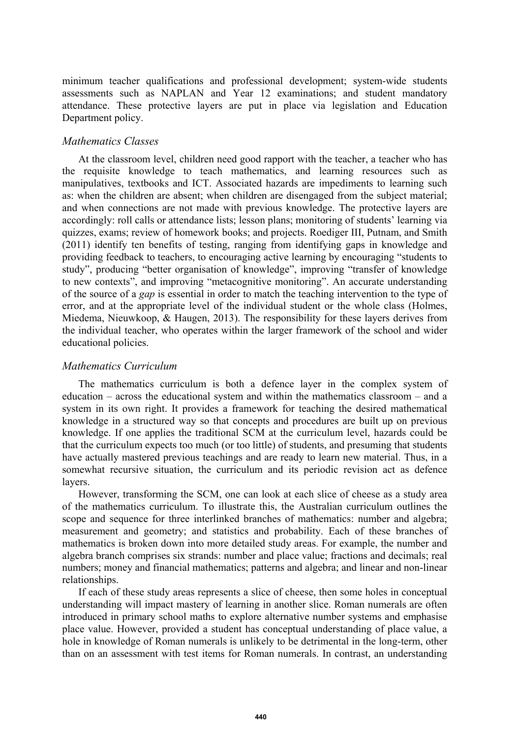minimum teacher qualifications and professional development; system-wide students assessments such as NAPLAN and Year 12 examinations; and student mandatory attendance. These protective layers are put in place via legislation and Education Department policy.

## *Mathematics Classes*

At the classroom level, children need good rapport with the teacher, a teacher who has the requisite knowledge to teach mathematics, and learning resources such as manipulatives, textbooks and ICT. Associated hazards are impediments to learning such as: when the children are absent; when children are disengaged from the subject material; and when connections are not made with previous knowledge. The protective layers are accordingly: roll calls or attendance lists; lesson plans; monitoring of students' learning via quizzes, exams; review of homework books; and projects. Roediger III, Putnam, and Smith (2011) identify ten benefits of testing, ranging from identifying gaps in knowledge and providing feedback to teachers, to encouraging active learning by encouraging "students to study", producing "better organisation of knowledge", improving "transfer of knowledge to new contexts", and improving "metacognitive monitoring". An accurate understanding of the source of a *gap* is essential in order to match the teaching intervention to the type of error, and at the appropriate level of the individual student or the whole class (Holmes, Miedema, Nieuwkoop, & Haugen, 2013). The responsibility for these layers derives from the individual teacher, who operates within the larger framework of the school and wider educational policies.

### *Mathematics Curriculum*

The mathematics curriculum is both a defence layer in the complex system of education – across the educational system and within the mathematics classroom – and a system in its own right. It provides a framework for teaching the desired mathematical knowledge in a structured way so that concepts and procedures are built up on previous knowledge. If one applies the traditional SCM at the curriculum level, hazards could be that the curriculum expects too much (or too little) of students, and presuming that students have actually mastered previous teachings and are ready to learn new material. Thus, in a somewhat recursive situation, the curriculum and its periodic revision act as defence layers.

However, transforming the SCM, one can look at each slice of cheese as a study area of the mathematics curriculum. To illustrate this, the Australian curriculum outlines the scope and sequence for three interlinked branches of mathematics: number and algebra; measurement and geometry; and statistics and probability. Each of these branches of mathematics is broken down into more detailed study areas. For example, the number and algebra branch comprises six strands: number and place value; fractions and decimals; real numbers; money and financial mathematics; patterns and algebra; and linear and non-linear relationships.

If each of these study areas represents a slice of cheese, then some holes in conceptual understanding will impact mastery of learning in another slice. Roman numerals are often introduced in primary school maths to explore alternative number systems and emphasise place value. However, provided a student has conceptual understanding of place value, a hole in knowledge of Roman numerals is unlikely to be detrimental in the long-term, other than on an assessment with test items for Roman numerals. In contrast, an understanding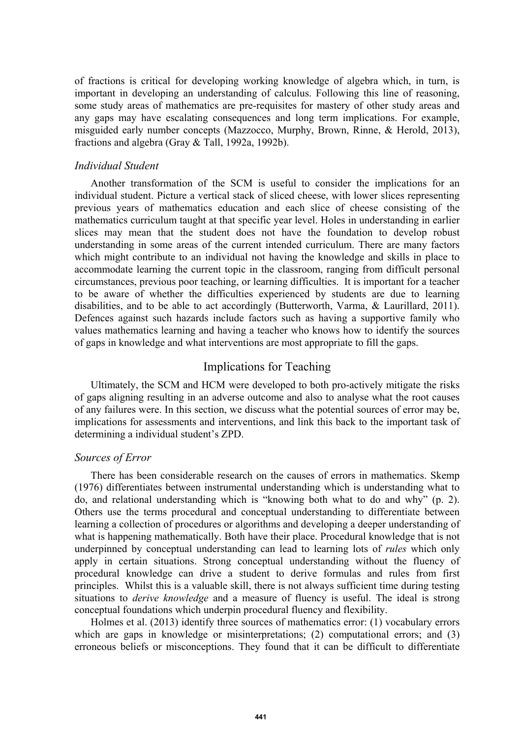of fractions is critical for developing working knowledge of algebra which, in turn, is important in developing an understanding of calculus. Following this line of reasoning, some study areas of mathematics are pre-requisites for mastery of other study areas and any gaps may have escalating consequences and long term implications. For example, misguided early number concepts (Mazzocco, Murphy, Brown, Rinne, & Herold, 2013), fractions and algebra (Gray & Tall, 1992a, 1992b).

## *Individual Student*

Another transformation of the SCM is useful to consider the implications for an individual student. Picture a vertical stack of sliced cheese, with lower slices representing previous years of mathematics education and each slice of cheese consisting of the mathematics curriculum taught at that specific year level. Holes in understanding in earlier slices may mean that the student does not have the foundation to develop robust understanding in some areas of the current intended curriculum. There are many factors which might contribute to an individual not having the knowledge and skills in place to accommodate learning the current topic in the classroom, ranging from difficult personal circumstances, previous poor teaching, or learning difficulties. It is important for a teacher to be aware of whether the difficulties experienced by students are due to learning disabilities, and to be able to act accordingly (Butterworth, Varma, & Laurillard, 2011). Defences against such hazards include factors such as having a supportive family who values mathematics learning and having a teacher who knows how to identify the sources of gaps in knowledge and what interventions are most appropriate to fill the gaps.

# Implications for Teaching

Ultimately, the SCM and HCM were developed to both pro-actively mitigate the risks of gaps aligning resulting in an adverse outcome and also to analyse what the root causes of any failures were. In this section, we discuss what the potential sources of error may be, implications for assessments and interventions, and link this back to the important task of determining a individual student's ZPD.

## *Sources of Error*

There has been considerable research on the causes of errors in mathematics. Skemp (1976) differentiates between instrumental understanding which is understanding what to do, and relational understanding which is "knowing both what to do and why" (p. 2). Others use the terms procedural and conceptual understanding to differentiate between learning a collection of procedures or algorithms and developing a deeper understanding of what is happening mathematically. Both have their place. Procedural knowledge that is not underpinned by conceptual understanding can lead to learning lots of *rules* which only apply in certain situations. Strong conceptual understanding without the fluency of procedural knowledge can drive a student to derive formulas and rules from first principles. Whilst this is a valuable skill, there is not always sufficient time during testing situations to *derive knowledge* and a measure of fluency is useful. The ideal is strong conceptual foundations which underpin procedural fluency and flexibility.

Holmes et al. (2013) identify three sources of mathematics error: (1) vocabulary errors which are gaps in knowledge or misinterpretations; (2) computational errors; and (3) erroneous beliefs or misconceptions. They found that it can be difficult to differentiate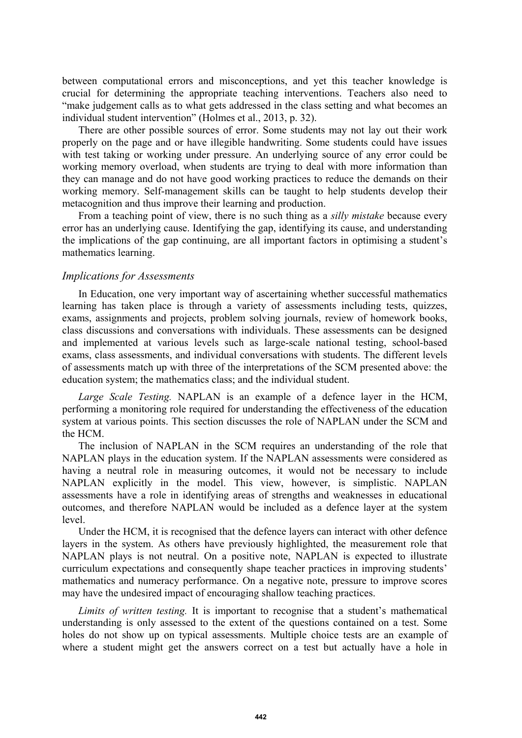between computational errors and misconceptions, and yet this teacher knowledge is crucial for determining the appropriate teaching interventions. Teachers also need to "make judgement calls as to what gets addressed in the class setting and what becomes an individual student intervention" (Holmes et al., 2013, p. 32).

There are other possible sources of error. Some students may not lay out their work properly on the page and or have illegible handwriting. Some students could have issues with test taking or working under pressure. An underlying source of any error could be working memory overload, when students are trying to deal with more information than they can manage and do not have good working practices to reduce the demands on their working memory. Self-management skills can be taught to help students develop their metacognition and thus improve their learning and production.

From a teaching point of view, there is no such thing as a *silly mistake* because every error has an underlying cause. Identifying the gap, identifying its cause, and understanding the implications of the gap continuing, are all important factors in optimising a student's mathematics learning.

#### *Implications for Assessments*

In Education, one very important way of ascertaining whether successful mathematics learning has taken place is through a variety of assessments including tests, quizzes, exams, assignments and projects, problem solving journals, review of homework books, class discussions and conversations with individuals. These assessments can be designed and implemented at various levels such as large-scale national testing, school-based exams, class assessments, and individual conversations with students. The different levels of assessments match up with three of the interpretations of the SCM presented above: the education system; the mathematics class; and the individual student.

*Large Scale Testing.* NAPLAN is an example of a defence layer in the HCM, performing a monitoring role required for understanding the effectiveness of the education system at various points. This section discusses the role of NAPLAN under the SCM and the HCM.

The inclusion of NAPLAN in the SCM requires an understanding of the role that NAPLAN plays in the education system. If the NAPLAN assessments were considered as having a neutral role in measuring outcomes, it would not be necessary to include NAPLAN explicitly in the model. This view, however, is simplistic. NAPLAN assessments have a role in identifying areas of strengths and weaknesses in educational outcomes, and therefore NAPLAN would be included as a defence layer at the system level.

Under the HCM, it is recognised that the defence layers can interact with other defence layers in the system. As others have previously highlighted, the measurement role that NAPLAN plays is not neutral. On a positive note, NAPLAN is expected to illustrate curriculum expectations and consequently shape teacher practices in improving students' mathematics and numeracy performance. On a negative note, pressure to improve scores may have the undesired impact of encouraging shallow teaching practices.

*Limits of written testing.* It is important to recognise that a student's mathematical understanding is only assessed to the extent of the questions contained on a test. Some holes do not show up on typical assessments. Multiple choice tests are an example of where a student might get the answers correct on a test but actually have a hole in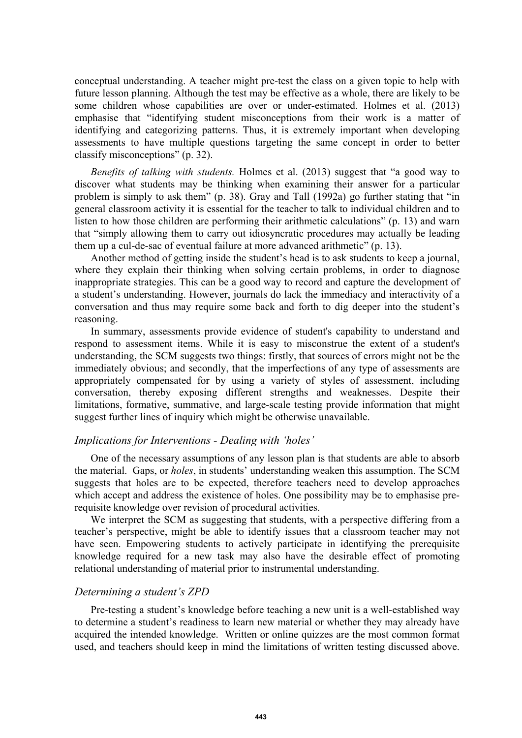conceptual understanding. A teacher might pre-test the class on a given topic to help with future lesson planning. Although the test may be effective as a whole, there are likely to be some children whose capabilities are over or under-estimated. Holmes et al. (2013) emphasise that "identifying student misconceptions from their work is a matter of identifying and categorizing patterns. Thus, it is extremely important when developing assessments to have multiple questions targeting the same concept in order to better classify misconceptions" (p. 32).

*Benefits of talking with students.* Holmes et al. (2013) suggest that "a good way to discover what students may be thinking when examining their answer for a particular problem is simply to ask them" (p. 38). Gray and Tall (1992a) go further stating that "in general classroom activity it is essential for the teacher to talk to individual children and to listen to how those children are performing their arithmetic calculations" (p. 13) and warn that "simply allowing them to carry out idiosyncratic procedures may actually be leading them up a cul-de-sac of eventual failure at more advanced arithmetic" (p. 13).

Another method of getting inside the student's head is to ask students to keep a journal, where they explain their thinking when solving certain problems, in order to diagnose inappropriate strategies. This can be a good way to record and capture the development of a student's understanding. However, journals do lack the immediacy and interactivity of a conversation and thus may require some back and forth to dig deeper into the student's reasoning.

In summary, assessments provide evidence of student's capability to understand and respond to assessment items. While it is easy to misconstrue the extent of a student's understanding, the SCM suggests two things: firstly, that sources of errors might not be the immediately obvious; and secondly, that the imperfections of any type of assessments are appropriately compensated for by using a variety of styles of assessment, including conversation, thereby exposing different strengths and weaknesses. Despite their limitations, formative, summative, and large-scale testing provide information that might suggest further lines of inquiry which might be otherwise unavailable.

#### *Implications for Interventions - Dealing with 'holes'*

One of the necessary assumptions of any lesson plan is that students are able to absorb the material. Gaps, or *holes*, in students' understanding weaken this assumption. The SCM suggests that holes are to be expected, therefore teachers need to develop approaches which accept and address the existence of holes. One possibility may be to emphasise prerequisite knowledge over revision of procedural activities.

We interpret the SCM as suggesting that students, with a perspective differing from a teacher's perspective, might be able to identify issues that a classroom teacher may not have seen. Empowering students to actively participate in identifying the prerequisite knowledge required for a new task may also have the desirable effect of promoting relational understanding of material prior to instrumental understanding.

# *Determining a student's ZPD*

Pre-testing a student's knowledge before teaching a new unit is a well-established way to determine a student's readiness to learn new material or whether they may already have acquired the intended knowledge. Written or online quizzes are the most common format used, and teachers should keep in mind the limitations of written testing discussed above.